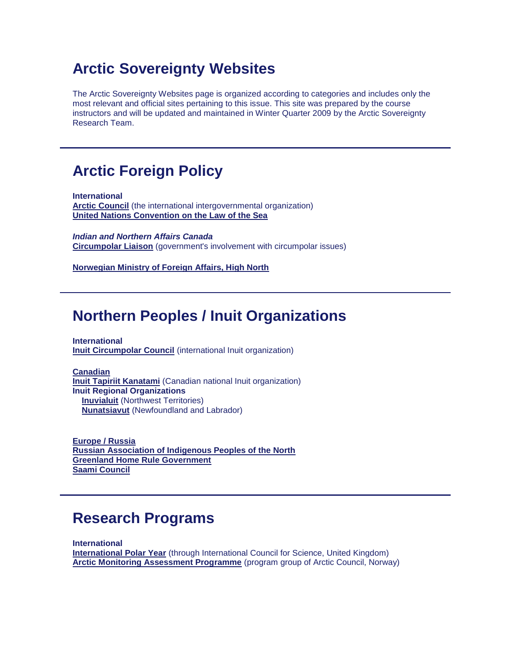# **Arctic Sovereignty Websites**

The Arctic Sovereignty Websites page is organized according to categories and includes only the most relevant and official sites pertaining to this issue. This site was prepared by the course instructors and will be updated and maintained in Winter Quarter 2009 by the Arctic Sovereignty Research Team.

# **Arctic Foreign Policy**

**International [Arctic Council](http://www.arctic-council.org/)** (the international intergovernmental organization) **[United Nations Convention on the Law of the Sea](http://www.un.org/Depts/los/index.htm)**

*Indian and Northern Affairs Canada* **[Circumpolar Liaison](http://www.ainc-inac.gc.ca/nth/cl/index-eng.asp)** (government's involvement with circumpolar issues)

**[Norwegian Ministry of Foreign Affairs, High North](http://www.regjeringen.no/en/dep/ud/selected-topics/High-North.html?id=1154)**

### **Northern Peoples / Inuit Organizations**

**International [Inuit Circumpolar Council](http://inuitcircumpolar.com/)** (international Inuit organization)

**Canadian [Inuit Tapiriit Kanatami](http://www.itk.ca/)** (Canadian national Inuit organization) **Inuit Regional Organizations [Inuvialuit](http://www.irc.inuvialuit.com/)** (Northwest Territories)  **[Nunatsiavut](http://www.nunatsiavut.com/)** (Newfoundland and Labrador)

**Europe / Russia [Russian Association of Indigenous Peoples of the North](https://arctic-council.org/index.php/en/about-us/permanent-participants/raipon) [Greenland Home Rule Government](http://uk.nanoq.gl/) [Saami Council](http://www.saamicouncil.net/?deptid=1116)**

### **Research Programs**

**International [International Polar Year](http://www.ipy.org/)** (through International Council for Science, United Kingdom) **[Arctic Monitoring Assessment Programme](http://www.amap.no/)** (program group of Arctic Council, Norway)